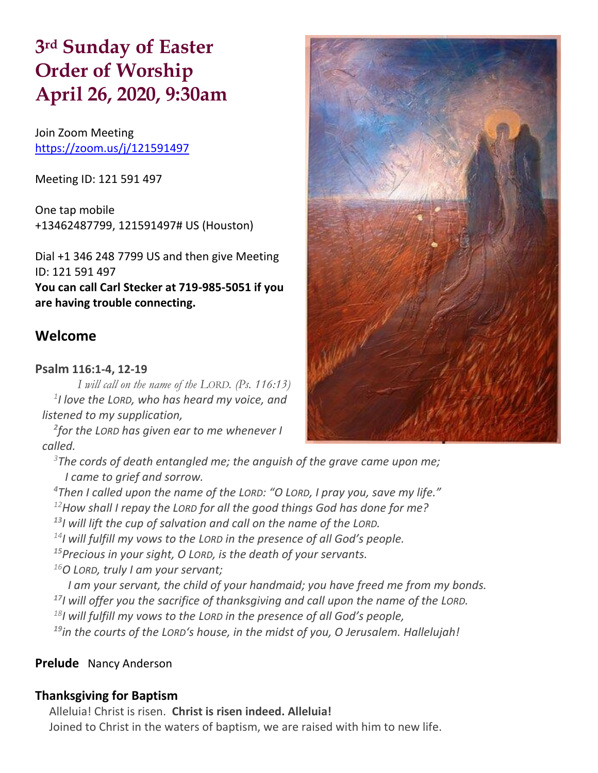# **3 rd Sunday of Easter Order of Worship April 26, 2020, 9:30am**

Join Zoom Meeting https://zoom.us/j/121591497

Meeting ID: 121 591 497

One tap mobile +13462487799, 121591497# US (Houston)

Dial +1 346 248 7799 US and then give Meeting ID: 121 591 497 **You can call Carl Stecker at 719-985-5051 if you are having trouble connecting.**

# **Welcome**

## **Psalm 116:1-4, 12-19**

*I will call on the name of the LORD. (Ps. 116:13) 1 I love the LORD, who has heard my voice, and listened to my supplication,*

*2 for the LORD has given ear to me whenever I called.*

*<sup>3</sup>The cords of death entangled me; the anguish of the grave came upon me; I came to grief and sorrow.*

*Then I called upon the name of the LORD: "O LORD, I pray you, save my life." How shall I repay the LORD for all the good things God has done for me? I will lift the cup of salvation and call on the name of the LORD. I will fulfill my vows to the LORD in the presence of all God's people. Precious in your sight, O LORD, is the death of your servants. O LORD, truly I am your servant; I am your servant, the child of your handmaid; you have freed me from my bonds. I will offer you the sacrifice of thanksgiving and call upon the name of the LORD.*

*<sup>18</sup>I will fulfill my vows to the LORD in the presence of all God's people,*

*<sup>19</sup>in the courts of the LORD's house, in the midst of you, O Jerusalem. Hallelujah!*

## **Prelude** Nancy Anderson

## **Thanksgiving for Baptism**

Alleluia! Christ is risen. **Christ is risen indeed. Alleluia!** Joined to Christ in the waters of baptism, we are raised with him to new life.

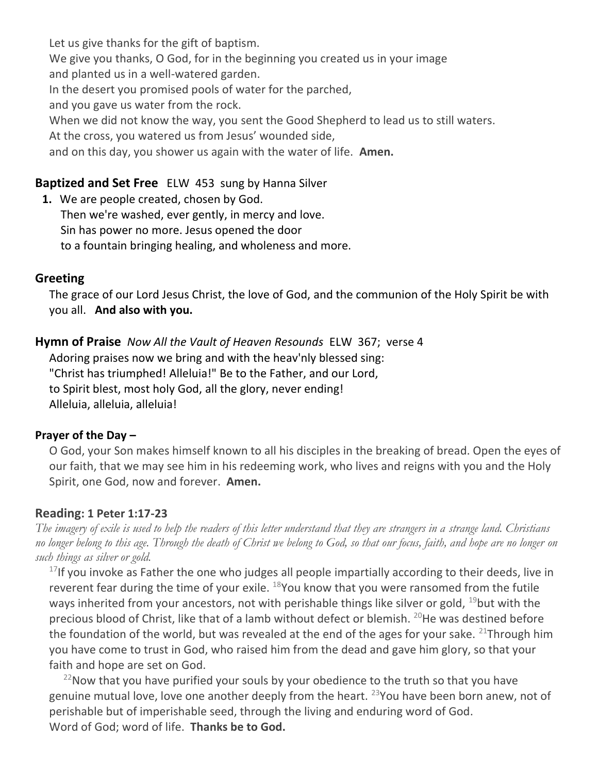Let us give thanks for the gift of baptism. We give you thanks, O God, for in the beginning you created us in your image and planted us in a well-watered garden. In the desert you promised pools of water for the parched, and you gave us water from the rock. When we did not know the way, you sent the Good Shepherd to lead us to still waters. At the cross, you watered us from Jesus' wounded side, and on this day, you shower us again with the water of life. **Amen.**

# **Baptized and Set Free** ELW 453 sung by Hanna Silver

**1.** We are people created, chosen by God. Then we're washed, ever gently, in mercy and love. Sin has power no more. Jesus opened the door to a fountain bringing healing, and wholeness and more.

# **Greeting**

The grace of our Lord Jesus Christ, the love of God, and the communion of the Holy Spirit be with you all. **And also with you.**

**Hymn of Praise** *Now All the Vault of Heaven Resounds* ELW 367; verse 4 Adoring praises now we bring and with the heav'nly blessed sing: "Christ has triumphed! Alleluia!" Be to the Father, and our Lord, to Spirit blest, most holy God, all the glory, never ending! Alleluia, alleluia, alleluia!

## **Prayer of the Day –**

O God, your Son makes himself known to all his disciples in the breaking of bread. Open the eyes of our faith, that we may see him in his redeeming work, who lives and reigns with you and the Holy Spirit, one God, now and forever. **Amen.**

## **Reading: 1 Peter 1:17-23**

*The imagery of exile is used to help the readers of this letter understand that they are strangers in a strange land. Christians no longer belong to this age. Through the death of Christ we belong to God, so that our focus, faith, and hope are no longer on such things as silver or gold.*

 $17$ If you invoke as Father the one who judges all people impartially according to their deeds, live in reverent fear during the time of your exile. <sup>18</sup>You know that you were ransomed from the futile ways inherited from your ancestors, not with perishable things like silver or gold, <sup>19</sup>but with the precious blood of Christ, like that of a lamb without defect or blemish.  $^{20}$ He was destined before the foundation of the world, but was revealed at the end of the ages for your sake. <sup>21</sup>Through him you have come to trust in God, who raised him from the dead and gave him glory, so that your faith and hope are set on God.

 $22$ Now that you have purified your souls by your obedience to the truth so that you have genuine mutual love, love one another deeply from the heart. <sup>23</sup>You have been born anew, not of perishable but of imperishable seed, through the living and enduring word of God. Word of God; word of life. **Thanks be to God.**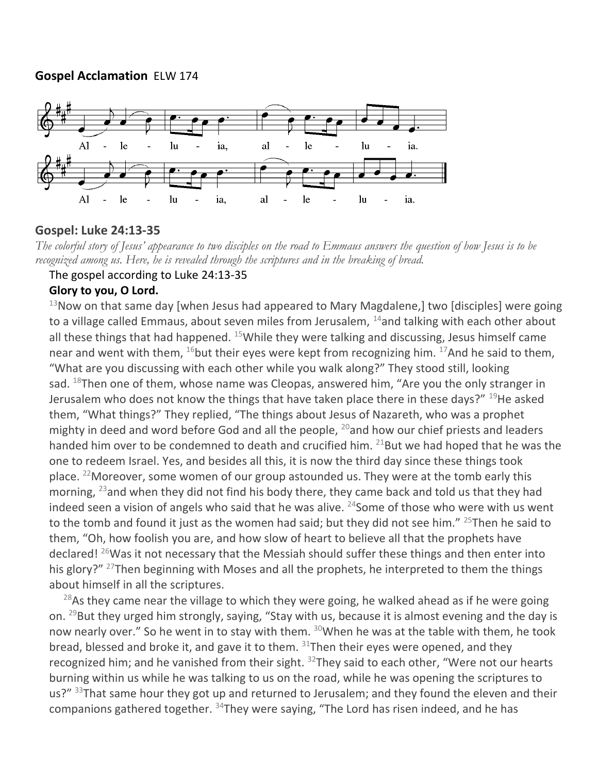# **Gospel Acclamation** ELW 174



# **Gospel: Luke 24:13-35**

*The colorful story of Jesus' appearance to two disciples on the road to Emmaus answers the question of how Jesus is to be recognized among us. Here, he is revealed through the scriptures and in the breaking of bread.*

#### The gospel according to Luke 24:13-35

## **Glory to you, O Lord.**

 $13$ Now on that same day [when Jesus had appeared to Mary Magdalene,] two [disciples] were going to a village called Emmaus, about seven miles from Jerusalem,  $14$  and talking with each other about all these things that had happened.  $15$ While they were talking and discussing, Jesus himself came near and went with them,  $^{16}$ but their eyes were kept from recognizing him.  $^{17}$ And he said to them, "What are you discussing with each other while you walk along?" They stood still, looking sad.  $^{18}$ Then one of them, whose name was Cleopas, answered him, "Are you the only stranger in Jerusalem who does not know the things that have taken place there in these days?"  $^{19}$ He asked them, "What things?" They replied, "The things about Jesus of Nazareth, who was a prophet mighty in deed and word before God and all the people,  $^{20}$  and how our chief priests and leaders handed him over to be condemned to death and crucified him.  $21$ But we had hoped that he was the one to redeem Israel. Yes, and besides all this, it is now the third day since these things took place. <sup>22</sup>Moreover, some women of our group astounded us. They were at the tomb early this morning, <sup>23</sup> and when they did not find his body there, they came back and told us that they had indeed seen a vision of angels who said that he was alive.  $24$  Some of those who were with us went to the tomb and found it just as the women had said; but they did not see him." <sup>25</sup>Then he said to them, "Oh, how foolish you are, and how slow of heart to believe all that the prophets have declared!  $^{26}$ Was it not necessary that the Messiah should suffer these things and then enter into his glory?" <sup>27</sup>Then beginning with Moses and all the prophets, he interpreted to them the things about himself in all the scriptures.

 $^{28}$ As they came near the village to which they were going, he walked ahead as if he were going on.  $^{29}$ But they urged him strongly, saying, "Stay with us, because it is almost evening and the day is now nearly over." So he went in to stay with them. <sup>30</sup>When he was at the table with them, he took bread, blessed and broke it, and gave it to them.  $31$ Then their eyes were opened, and they recognized him; and he vanished from their sight. <sup>32</sup>They said to each other, "Were not our hearts burning within us while he was talking to us on the road, while he was opening the scriptures to us?" 33That same hour they got up and returned to Jerusalem; and they found the eleven and their companions gathered together.  $34$ They were saying, "The Lord has risen indeed, and he has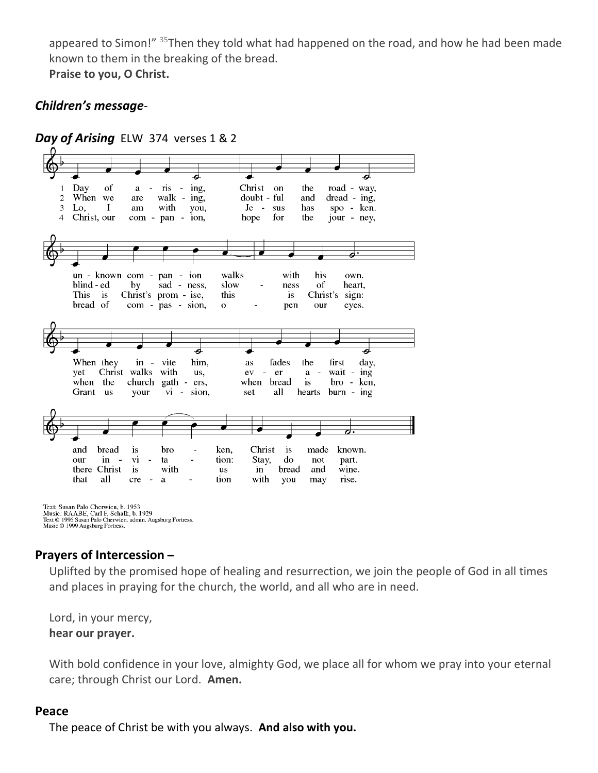appeared to Simon!" <sup>35</sup>Then they told what had happened on the road, and how he had been made known to them in the breaking of the bread.

**Praise to you, O Christ.**

# *Children's message*-



Text: Susan Palo Cherwien, b. 1953<br>Music: RAABE, Carl F. Schalk, b. 1929<br>Text © 1996 Susan Palo Cherwien, admin. Augsburg Fortress.<br>Music © 1999 Augsburg Fortress.

# **Prayers of Intercession –**

Uplifted by the promised hope of healing and resurrection, we join the people of God in all times and places in praying for the church, the world, and all who are in need.

Lord, in your mercy, **hear our prayer.**

With bold confidence in your love, almighty God, we place all for whom we pray into your eternal care; through Christ our Lord. **Amen.**

## **Peace**

The peace of Christ be with you always. **And also with you.**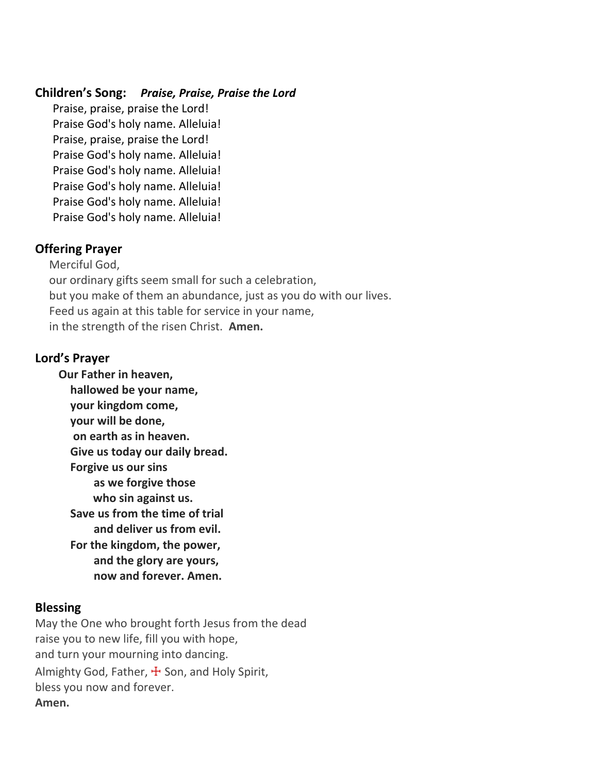# **Children's Song:** *Praise, Praise, Praise the Lord*

Praise, praise, praise the Lord! Praise God's holy name. Alleluia! Praise, praise, praise the Lord! Praise God's holy name. Alleluia! Praise God's holy name. Alleluia! Praise God's holy name. Alleluia! Praise God's holy name. Alleluia! Praise God's holy name. Alleluia!

# **Offering Prayer**

Merciful God, our ordinary gifts seem small for such a celebration, but you make of them an abundance, just as you do with our lives. Feed us again at this table for service in your name, in the strength of the risen Christ. **Amen.**

# **Lord's Prayer**

**Our Father in heaven, hallowed be your name, your kingdom come, your will be done, on earth as in heaven. Give us today our daily bread. Forgive us our sins as we forgive those who sin against us. Save us from the time of trial and deliver us from evil. For the kingdom, the power, and the glory are yours, now and forever. Amen.**

# **Blessing**

May the One who brought forth Jesus from the dead raise you to new life, fill you with hope, and turn your mourning into dancing. Almighty God, Father,  $\pm$  Son, and Holy Spirit, bless you now and forever. **Amen.**